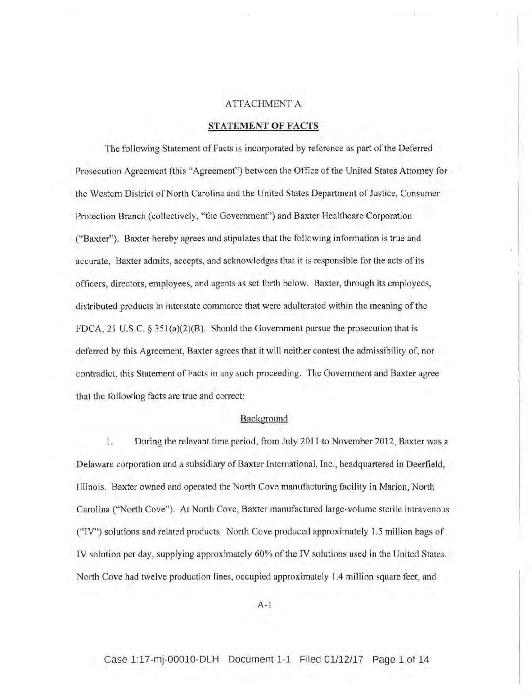## ATTACHMENT A

### STATEMENT OF FACTS

The following Statement of Facts is incorporated by reference as part of the Deferred Prosecution Agreement (this "Agreement") between the Office of the United States Attorney for the Westem District of North Carolina and the United States Department of Justice, Consumer Protection Branch (collectively, "the Governmenf') and Baxter Healthcare Corporation ("Baxter"). Baxter hereby agrees and stipulates that the following information is true and accurate. Baxter admits, accepts, and acknowledges that it is responsible for the acts of its officers, directors, employees, and agents as set forth below. Baxter, through its employees, distributed products in interstate commerce that were adulterated within the meaning of the FDCA, 21 U.S.C.  $\S 351(a)(2)(B)$ . Should the Government pursue the prosecution that is deferred by this Agreement, Baxter agrees that it will neither contest the admissibility of, nor contradict, this Statement of Facts in any such proceeding. The Government and Baxter agree that the following facts are true and correct:

#### Background

l. During the relevant time period, from July 2011 to November 2012, Baxter was a Delaware corporation and a subsidiary of Baxter lnternational, Inc., headquartered in Deerfield, Illinois. Baxter owned and operated the North Cove manufacturing facility in Marion, North Carolina ("North Cove"). At North Cove, Baxter manufactured large-volume sterile intravenous ("IV") solutions and related products. North Cove produced approximately 1.5 million bags of IV solution per day, supplying approximately 60% of the [V solutions used in the United States. North Cove had twelve production lines, occupied approximately 1.4 million square feet, and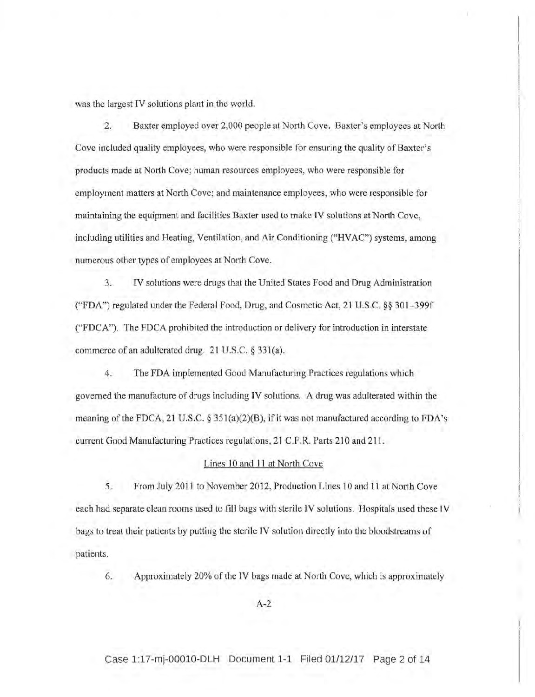was the largest IV solutions plant in the world.

2. Baxter employed over 2,000 people at North Cove, Baxter's employees at North Cove included quality employees, who were responsible for ensuring the quality of Baxter's products made at North Cove; human resources employees, who were responsible for employment matters at North Cove; and maintenance employees, who were responsible for maintaining the equipment and facilities Baxter used to make IV solutions at North Cove, inoluding utilities and Heating, Ventilation, and Air Conditioning ("HVAC") systems, among numerous other types of employees at North Cove.

3. IV solutions were drugs that the United States Food and Drug Administration ("FDA") regulated under the Federal Food, Drug, and Cosmetic Act, 21 U.S.C.  $\S$  301-399f ("FDCA"). The FDCA prohibited the introduction or delivery for introduction in interstate commerce of an adulterated drug. 21 U.S.C. § 331(a).

4. The FDA implemented Good Manufacturing Practices regulations which governed the manufacture of drugs including IV solutions. A drug was adulterated within the meaning of the FDCA, 21 U.S.C.  $\S 351(a)(2)(B)$ , if it was not manufactured according to FDA's current Good Manufacturing Practices regulations, 21 C.F.R. Parts 210 and 211.

# Lines l0 and 11 at North Cove

5. From July 2011 to November 2012, Production Lines l0 and 11 at North Cove each had separate clean rooms used to fill bags with sterile lV solutions. Hospitals used these IV bags to treat their patients by putting the sterile IV solution directly into the bloodstreams of patients.

6. Approximately ZlYo of the IV bags made at North Cove, which is approximately

A-2

Case 1:17-mj-00010-DLH Document 1-1 Filed 01/12/17 Page 2 of 14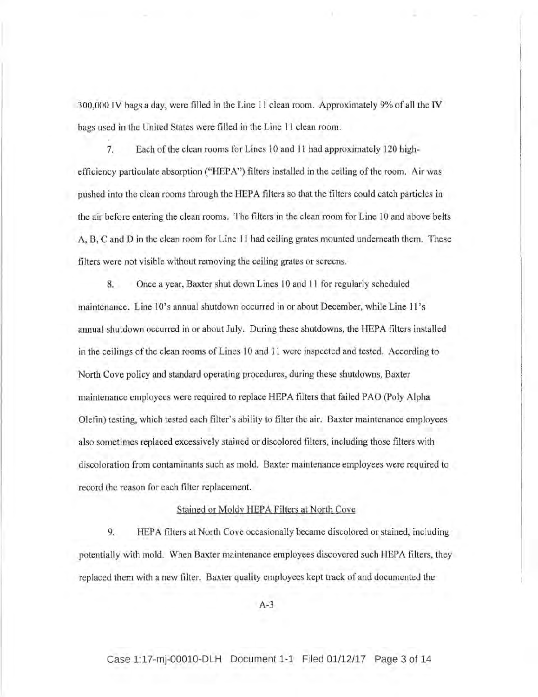300,000IV bags a day, were filled in the Line l1 clean room. Approximately 9% of all the IV bags used in the United States were filled in the Line 11 clean room.

7. Each of the clean rooms for Lines 10 and 11 had approximately 120 highefficiency particulate absorption ("HEPA") filters installed in the ceiling of the room. Air was pushed into the clean rooms through the HEPA filters so that the filters could catch particles in the air before entering the clean rooms. The filters in the clean room for Line 10 and above belts A, B, C and D in the clean room for Line 11 had ceiling grates mounted undemeath them. These filters were not visible without removing the ceiling grates or screens.

8. Once a year, Baxter shut down Lines 10 and 11 for regularly scheduled maintenance. Line 10's annual shutdown occurred in or about December, while Line 11's annual shutdown occurred in or about July. During these shutdowns, the HEPA filters installed in the ceilings of the clean rooms of Lines 10 and 11 were inspected and tested. According to North Cove policy and standard operating procedures, during these shutdowns, Baxter maintenance employees were required to replace HEPA fiIters that failed PAO (Poly Alpha Olefin) testing, which tested each filter's ability to filter the air. Baxter maintenance employees also sometimes replaced exoessively stained or discolored filters, including those filters with discoloration from contaminants such as mold. Baxter maintenance employees were required to record the reason for each filter replacement.

### Stained or Moldy HEPA Filters at North Cove

9. HEPA filters at North Cove occasionally became discolored or stainod, inciuding potentially with mold. When Baxter maintenance employees discovered such HEPA filters, they replaced them with a new filter. Baxter quality employees kept track of and documented the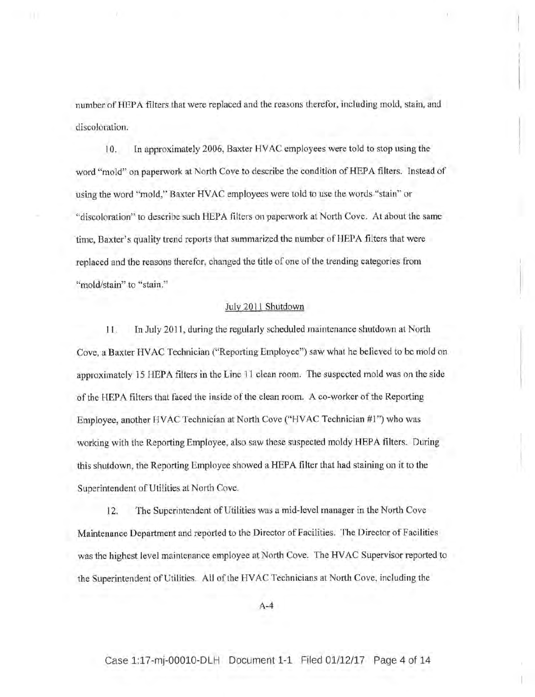number of HEPA filters that were replaced and the reasons therefor, including mold, stain, and discoloration.

10. In approximately 2006, Baxter HVAC employees were told to stop using the word "mold" on paperwork at North Cove to describe the condition of HEPA filters. Instead of using the word "mold," Baxter HVAC employees were told to use the words "stain" or "discoloration" to describe such FIEPA filters on paperwork at North Cove. At about the same time, Baxter's quality trend reports that summarized the number of HEPA filters that were replaced and the reasons therefor, changed the title of one of the trending categories from "mold/stain" to "stain."

# Julv 2011 Shutdown

11. In July 2011, during the regularly scheduled maintenance shutdown at North Cove, a Baxter HVAC Technician ("Reporting Employee") saw what he believed to be mold on approximately 15 HEPA filters in the Line 11 clean room. The suspected mold was on the side of the HEPA filters that faced the inside of the clean room. A co-worker of the Reporting Employee, another HVAC Technician at North Cove ("HVAC Technician #1") who was working with the Reporting Employee, also saw these suspected moldy HEPA filters. During this shutdown, the Reporting Employee showed a HEPA filter that had staining on it to the Superintendent of Utilities at North Cove.

12. The Superintendent of Utilities was a mid-level manager in the North Cove Maintenance Department and reported to the Director of Facilities. The Director of Facilities was the highest level maintenance employee at North Cove. The HVAC Supervisor reported to the Superintendent of Utilities. All of the HVAC Technicians at North Cove, including the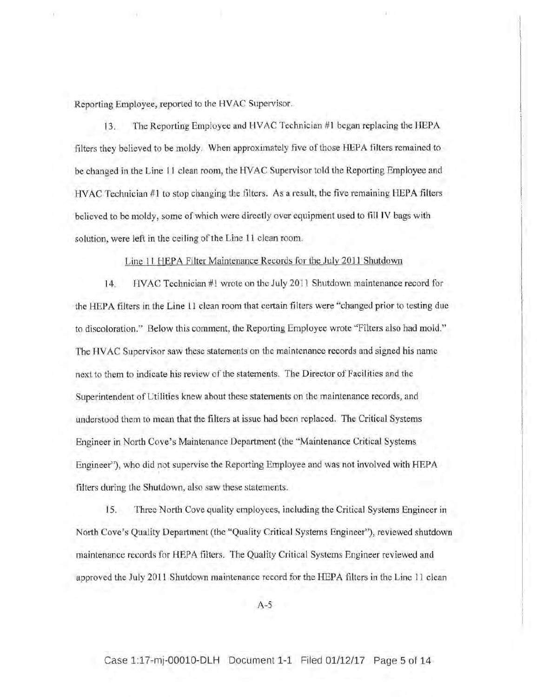Reporting Employee, reported to the HVAC Supervisor.

13. The Reporting Employee and HVAC Technician #1 began replacing the HEPA filters they believed to be moldy. When approximately five of those HEPA filters remained to be changed in the Line 11 clean room, the HVAC Supervisor told the Reporting Employee and HVAC Technician #1 to stop changing the filters. As a result, the five remaining HEPA filters believed to be moldy, some of which were directly over equipment used to fiII IV bags with solution, were Ieft in the ceiling of the Line 11 clean room.

Line 11 HEPA Filter Maintenance Records for the July 2011 Shutdown

14. HVAC Technician #1 wrote on the July 2011 Shutdown maintenance record for the HEPA filters in the Line 1l olean room that certain filters were "changed prior to testing due to discoloration." Below this comment, the Reporting Employee wrote "Filters also had mold." The HVAC Supervisor saw these statements on the maintenance records and signed his name next to them to indicate his review of the statements. The Director of Facilities and the Superintendent of Utilities knew about these statements on the maintenance records, and understood them to mean that the filters at issue had been replaced. The Critical Systems Engineer in North Cove's Maintenance Department (the "Maintenance Critical Systems Engineer"), who did not supervise the Reporting Employee and was not involved with HEPA filters during the Shutdown, also saw these statements.

l,

15. Three North Cove quality employees, including the Critical Systems Engineer in North Cove's Quality Department (the "Quality Critical Systems Engineer"), reviewed shutdown maintenance records for HEPA filters. The Quality Critical Systems Engineer reviewed and approved the July 2011 Shutdown maintenance record for the I{EPA filters in the Line 11 clean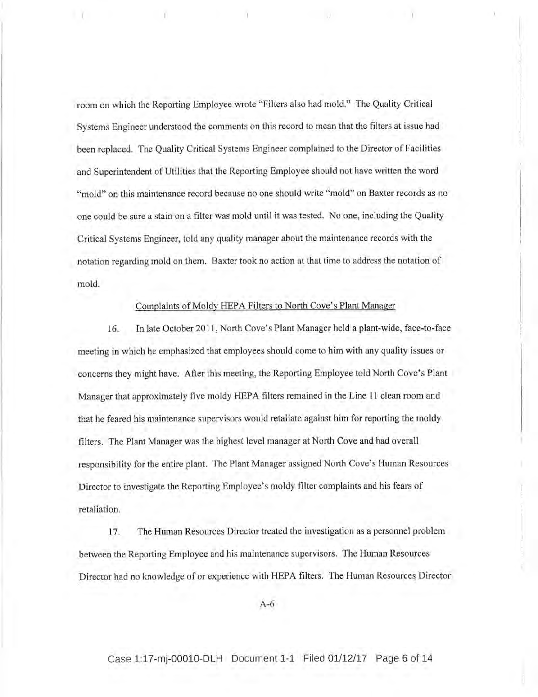room on which the Reporting Employee wrote "Filters also had mold." The Quality Critical Systems Engineer understood the comments on this reoord to mean that the filters at issue had been replaced. The Quality Critical Systems Engineer complained to the Director of Facilities and Superintendent of Utilities that the Reporting Employee should not have written the word "mold" on this maintenance record because no one should write "mold" on Baxter records as no one could be sure a stain on a filter was mold until it was tested. No one, including the Quality Critical Systems Engineer, told any quality manager about the maintenance records with the notation regarding mold on them. Baxter took no action at that time to address the notation of mold.

 $\mathbf{1}$ 

# Complaints of Moldy HEPA Filters to North Cove's Plant Manager

16. In late October 201 l, North Cove's Plant Manager held a plant-wide, faoe-to-face meeting in which he emphasized that employees should come to him with any quality issues or concerns they might have. After this meeting, the Reporting Employee told North Cove's Plant Manager that approximately five moldy HEPA filters remained in the Line 11 clean room and that he feared his maintenance supervisors would retaliate against him for reporting the moldy filters. The Plant Manager was the highest level manager at North Cove and had overall responsibility for the entire plant. The Plant Manager assigned North Cove's Human Resources Director to investigate the Reporting Employee's moldy filter complaints and his fears of retaliation.

17. The Human Resources Director treated the investigation as a personnel problem between the Reporting Employee and his maintenance supervisors. The Human Resources Director had no knowledge of or experience with HEPA filters. The Human Resources Director

A-6

Case 1:17-mj-00010-DLH Document 1-1 Filed 01/12/17 Page 6 of 14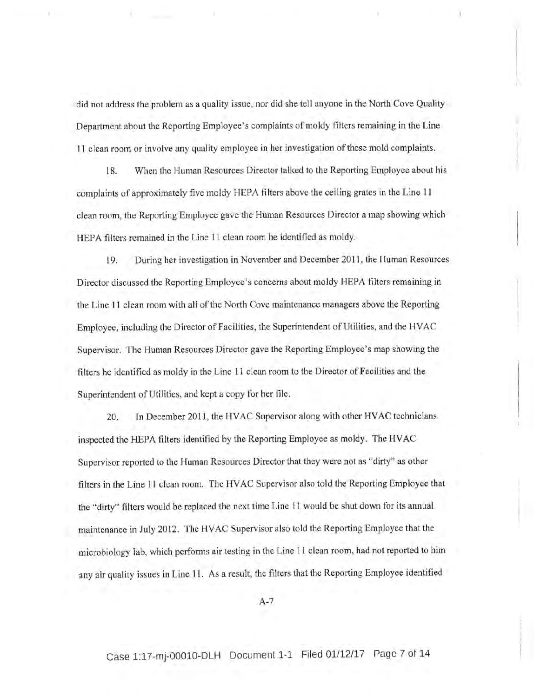did not address the problem as a quality issue, nor did she tell anyone in the North Cove Quality Department about the Reporting Employee's complaints of moldy fiiters remaining in the Line I I clean room or involve any quality employee in her investigation of these mold complaints.

18. When the Human Resources Director talked to the Reporting Employee about his complaints of approximately five moldy HEPA filters above the ceiling grates in the Line <sup>11</sup> clean room, the Reporting Employee gave the Human Resources Director a map showing which HEPA filters remained in the Line 11 clean room he identified as moldy,

19. During her investigation in November and December 2011, the Human Resources Director discussed the Reporting Employee's concerns about moldy HEPA filters remaining in the Line l1 clean room with all of the North Cove maintenance managers above the Reporting Employee, including the Director of Facilities, the Superintendent of Utilities, and the HVAC Supervisor. The Human Resources Director gave the Reporting Employee's map showing the filters he identified as moldy in the Line 11 clean room to the Director of Facilities and the Superintendent of Utilities, and kept a copy for her file.

20. In December 2011, the HVAC Supervisor along with other HVAC technicians inspected the HEPA filters identified by the Reporting Employee as moldy. The HVAC Supervisor reported to the Human Resources Director that they were not as "dirty" as other filters in the Line 11 clean room. The HVAC Supervisor also told the Reporting Employee that the "dirty' filters would be replaced the next time Line 11 would be shut down for its annual maintenance in July 2012. The HVAC Supervisor also told the Reporting Employee that the microbiology lab, which performs air testing in the Line 11 clean room, had not reported to him any atr quality issues in Line 11. As a result, the filters that the Reporting Employee identified

A-7

Case 1:17-mj-00010-DLH Document 1-1 Filed 01/12/17 Page 7 of 14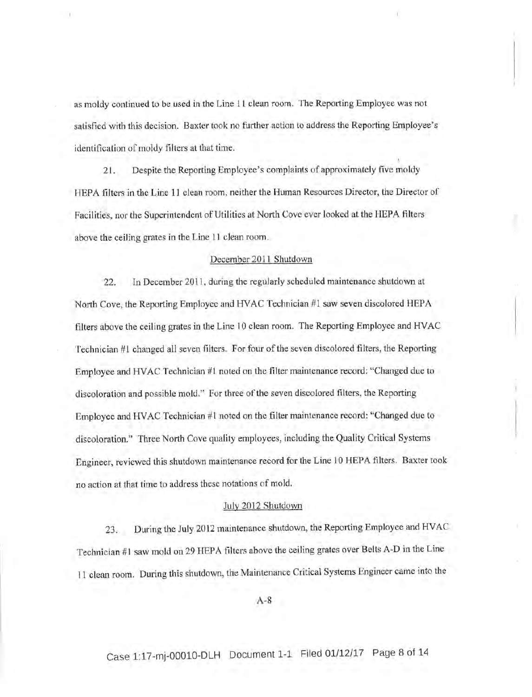as moldy continued to be used in the Line 1l clean room. The Reporting Employee was not satisfied with this decision. Baxter took no further action to address the Reporting Employee's identification of moldy filters at that time,

I I

21. Despite the Reporting Employee's complaints of approximately five moldy HEPA filters in the Line 1l clean room, neither the Human Resources Director, the Director of Facilities, nor the Superintendent of Utilities at North Cove ever looked at the HEPA filters above the ceiling grates in the Line 11 clean room,

### December 2011 Shutdown

22. In December 2011, during the regularly scheduled maintenance shutdown at North Cove, the Reporting Employee and HVAC Technician #1 saw seven discolored HEPA filters above the ceiling grates in the Line l0 clean room. The Reporting Employee and HVAC Technician #1 changed all seven filters. For four of the seven discolored filters, the Reporting Employee and IWAC Technician #1 noted on the filter maintenance record: "Changed due to discoloration and possible mold." For three of the seven discolored filters, the Reporting Employee and HVAC Technician #l noted on the filter maintenance record: "Changed due to discoloration." Three North Cove quality employees, including the Quality Critical Systems Engineer, reviewed this shutdown maintenance record for the Line 10 HEPA filters. Baxter took no action at that time to address these notations of mold.

### July 2012 Shutdown

23. During the July 2012 maintonance shutdown, the Reporting Employee and HVAC Technician #1 saw mold on 29 HEPA filters above the ceiling grates over Belts A-D in the Line <sup>11</sup>clean room. During this shutdown, the Maintenance Critical Systems Engineer came into the

A-8

Case 1:17-mj-00010-DLH Document 1-1 Filed 01/12/17 Page 8 of 14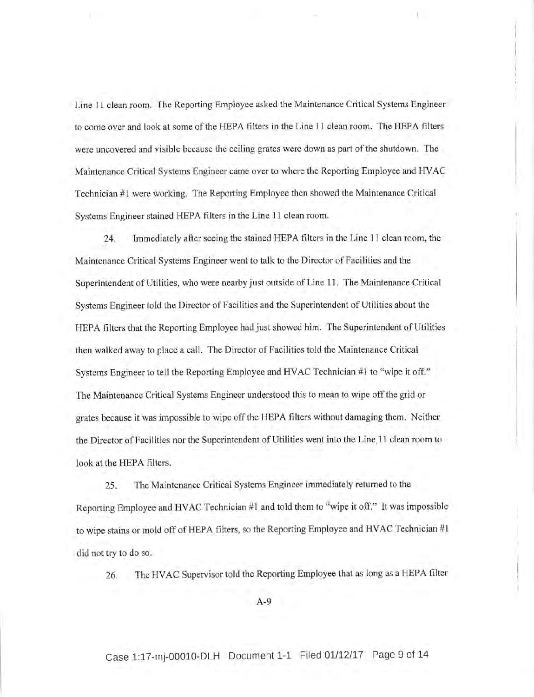Line 11 clean room. The Reporting Employee asked the Maintenance Critical Systems Engineer to come over and look at some of the HEPA filters in the Line 11 clean room. The HEPA filters were uncovered and visible because the ceiling grates were down as part of the shutdown. The Maintenance Critical Systems Engineer came over to where the Reporting Employee and IIVAC Technician #1 were working. The Reporting Employee then showed the Maintenance Critical Systems Engineer stained HEPA filters in the Line 11 clean room.

T.

24. Immediately after seeing the stained HEPA filters in the Line 1 1 clean room, the Maintenance Critical Systems Engineer went to talk to the Director of Facilities and the Superintendent of Utilities, who were nearby just outside of Line 11. The Maintenance Critical Systems Engineer told the Director of Facilities and the Superintendent of Utilities about the HEPA filters that the Reporting Employee had just showed him. The Superintendent of Utilities then walked away to place a call. The Director of Facilities told the Maintenance Critical Systems Engineer to tell the Reporting Employee and HVAC Technician #l to "wipe it off." The Maintenance Critical Systems Engineer understood this to mean to wipe off the grid or grates because it was irnpossible to wipe off the HEPA filters without damaging them. Neither the Director of Facilities nor the Superintendent of Utilities went into the Line 1l clean room to Iook at the HEPA filters.

25. The Maintenance Critical Systems Engineer immediately retumed to the Reporting Employee and HVAC Technician  $#1$  and told them to  $"$ wipe it off." It was impossible to wipe stains or mold off of HEPA filters, so the Reporting Employee and HVAC Technician #1 did not try to do so.

26. The HVAC Supervisor told the Reporting Employee that as long as a HEPA filter

A-9

Case 1:17-mj-00010-DLH Document 1-1 Filed 01/12/17 Page 9 of 14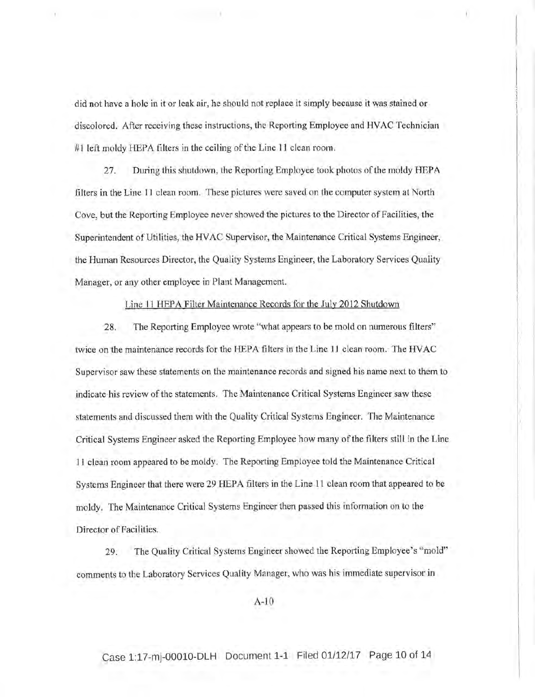did not have a hole in it or leak air, he should not replace it simply because it was stained or discolored. After receiving these instructions, the Reporting Employee and HVAC Technician #1 left moldy HEPA filters in the ceiling of the Line 11 clean room.

I t..

27. During this shutdown, the Reporting Employee took photos of the moldy TIEPA filters in the Line l1 clean room. These pictures were saved on the computer system at North Cove, but the Reporting Employee never showed the pictures to the Director of Facilities, the Superintendent of Utilities, the HVAC Supervisor, the Maintenance Critical Systems Engineer, the Human Resources Director, the Quality Systems Engineer, the Laboratory Services Quality Manager, ot any other employee in Plant Management.

Line 11 HEPA Filter Maintenance Records for the July 2012 Shutdown

28. The Reporting Employee wrote "what appears to be mold on numerous filters" twice on the maintenance records for the HEPA filters in the Line 11 clean room. The HVAC Supervisor saw these statements on the maintenance records and signed his name next to them to indicate his review of the statements. The Maintenanoe Critical Systems Engineer saw these statements and discussed them with the Quality Critical Systems Engineer, The Maintenance Critical Systems Engineer asked the Reporting Employee how many of the filters still in the Line l1 clean room appeared to be moldy. The Reporting Employee told the Maintenance Critical Systems Engineer that there were 29 HEPA filters in the Line 11 clean room that appeared to be moldy. The Maintenance Critical Systems Engineer then passed this information on to the Director of Facilities.

29. The Quality Critical Systems Engineer showed the Reporting Employee's "mold" comments to the Laboratory Services Quality Manager, who was his immediate supervisor in

A-10

Case 1:17-mj-00010-DLH Document 1-1 Filed 01/12/17 Page 10 of 14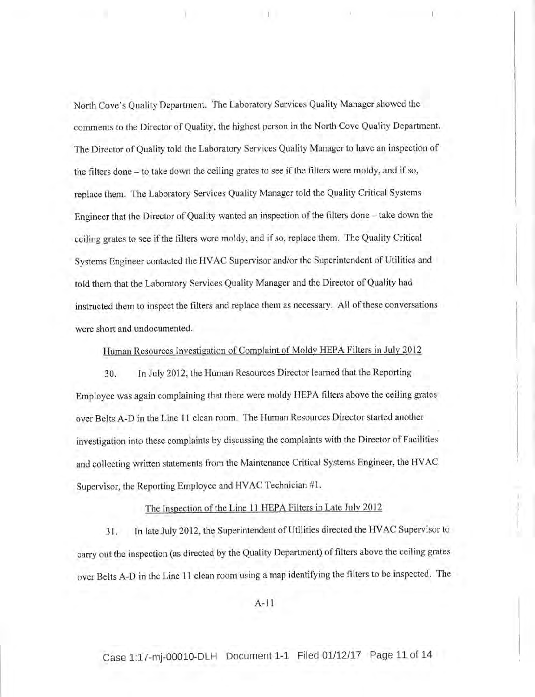North Cove's Quality Department. The Laboratory Services Quality Manager showed the comments to the Director of Quality, the highest porson in the North Cove Quality Department. The Director of Quality told the Laboratory Services Qualiry Manager to have an inspection of the filters done - to take down the ceiling grates to see if the filters were moldy, and if so, replace them. The Laboratory Services Quality Manager told the Quality Critical Systems Engineer that the Director of Quality wanted an inspection of the filters done - take down the ceiling grates to see if the filters were moldy, and if so, replace them. The Quality Critical Systems Engineer contacted the HVAC Supervisor and/or the Superintendent of Utilities and told them that the Laboratory Services Quality Manager and the Director of Quality had instructed them to inspect the filters and replace them as necessary. All of these conversations were short and undocumented.

Human Resources Investigation of Complaint of Moldy HEPA Filters in July 2012

30. In July 2072, the Human Resources Director learned that the Reporting Employee was again complaining that there were moldy HEPA filters above the ceiling grates over Belts A-D in the Line 11 clean room. The Human Resources Director started another investigation into these complaints by discussing the complaints with the Director of Facilities and collecting written statements from the Maintenance Critical Systems Engineer, the HVAC Supervisor, the Reporting Employee and HVAC Technician #1.

The Inspection of the Line 11 HEPA Filters in Late Julv 2012

31. In late July 2012, the Superintendent of Utilities directed the HVAC Supervisor to carry out the inspection (as directed by the Quality Department) of filters above the ceiling grates over Belts A-D in the Line 11 clean room using a map identiffing the filters to be inspected. The

A-11

Case 1:17-mj-00010-DLH Document 1-1 Filed 01/12/17 Page 11 of 14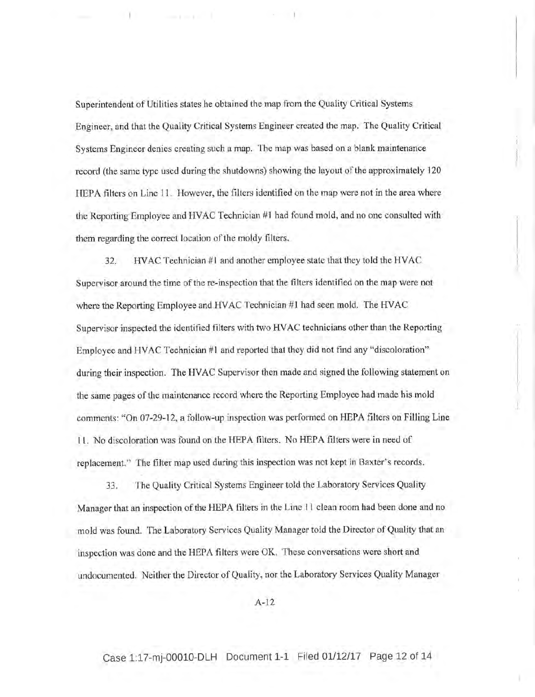Superintendent of Utilities states he obtained the map from the Quality Critical Systems Engineer, and that the Quality Critical Systems Engineer created the map. The Quality Critical Systems Engineer denies creating such a map. The map was based on a blank maintenance record (the same type used during the shutdowns) showing the layout of the approximately 120 HEPA filters on Line 11. However, the filters identified on the map were not in the area where the Reporting Employee and TIVAC Technician #1 had found mold, and no one consulted with them regarding the correct location of the moldy filters.

the company's control of

32. fryAC Technician #l and another employee state that they told the HVAC Supervisor around the time of the re-inspection that the filters identified on the map were not where the Reporting Employee and HVAC Technician  $#1$  had seen mold. The HVAC Supervisor inspected the identified filters with two HVAC technicians other than the Reporting Employee and HVAC Technician #1 and reported that they did not find any "discoloration" during their inspection. The HVAC Supervisor then made and signed the following statement on the same pages of the maintenance record where the Reporting Employee had made his mold comments: "On 07-29-12, a follow-up inspection was performed on HEPA filters on Filling Line I 1. No discoloration was found on the HEPA filters. No FIEPA filters wore in need of replacement." The filter map used during this inspection was not kopt in Baxter's records.

33. The Quality Critical Systems Engineer told the Laboratory Services Quality Manager that an inspection of the HEPA filters in the Line 11 clean room had been done and no mold was found. The Laboratory Services Quality Manager told the Direotor of Quality that an inspection was done and the HEPA filters were OK. These conversations were short and undocumented. Neither the Director of Quality, nor the Laboratory Services Quality Manager

 $A-12$ 

Case 1:17-mj-00010-DLH Document 1-1 Filed 01/12/17 Page 12 of 14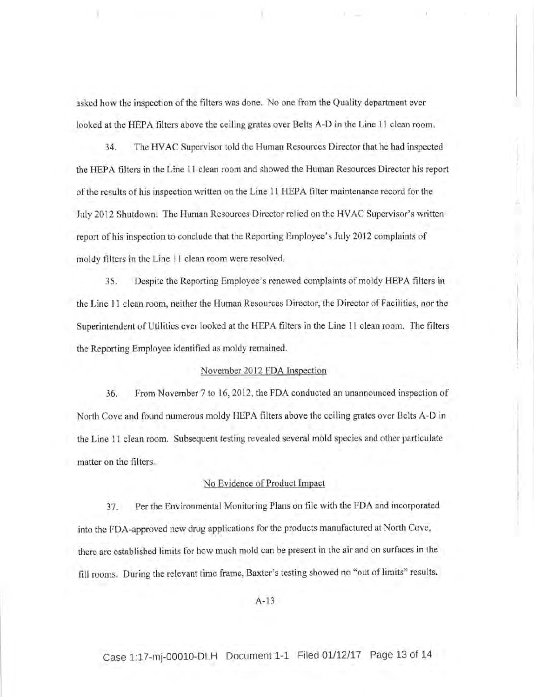asked how the inspection of the filters was done. No one from the Quality department ever looked at the HEPA filters above the ceiling grates over Belts A-D in the Line 11 clean room.

34. The HVAC Supervisor told the Human Resources Director that he had inspected the HEPA filters in the Line 11 clean room and showed the Human Resources Director his report of the results of his inspection written on the Line 11 IIEPA filter maintenance record for the July 2072 Shutdown. The Human Resources Director relied on the HVAC Supervisor's written report of his inspection to conclude that the Reporting Employee's July 2012 complaints of moldy filters in the Line I I clean room were resolved.

35. Despite the Reporting Employee's renewed complaints of moldy HEPA filters in the Line 11 clean room, neither the Human Resources Director, the Director of Facilities, nor the Superintendent of Utilities ever iooked at the HEPA filters in the Line 11 clean room. The filters the Reporting Employee identified as moldy remained.

# November 2012 FDA Inspection

36. From November 7 to 16,2012, the FDA conduoted an unannounced inspection of North Cove and found numerous moldy HEPA filters above the ceiling grates over Belts A-D in the Line 11 clean room. Subsequent testing revealed several mold species and other particulate matter on the filters.

# No Evidence of Product Impact

37. Per the Environmental Monitoring Plans on file with the FDA and incorporated into the FDA-approved new drug applications for the products manufactured at North Cove, there are established limits for how much mold can be present in the air and on surfaces in the fill rooms. During the relevant time frame, Baxter's testing showed no "out of limits" results.

A-13

Case 1:17-mj-00010-DLH Document 1-1 Filed 01/12/17 Page 13 of 14